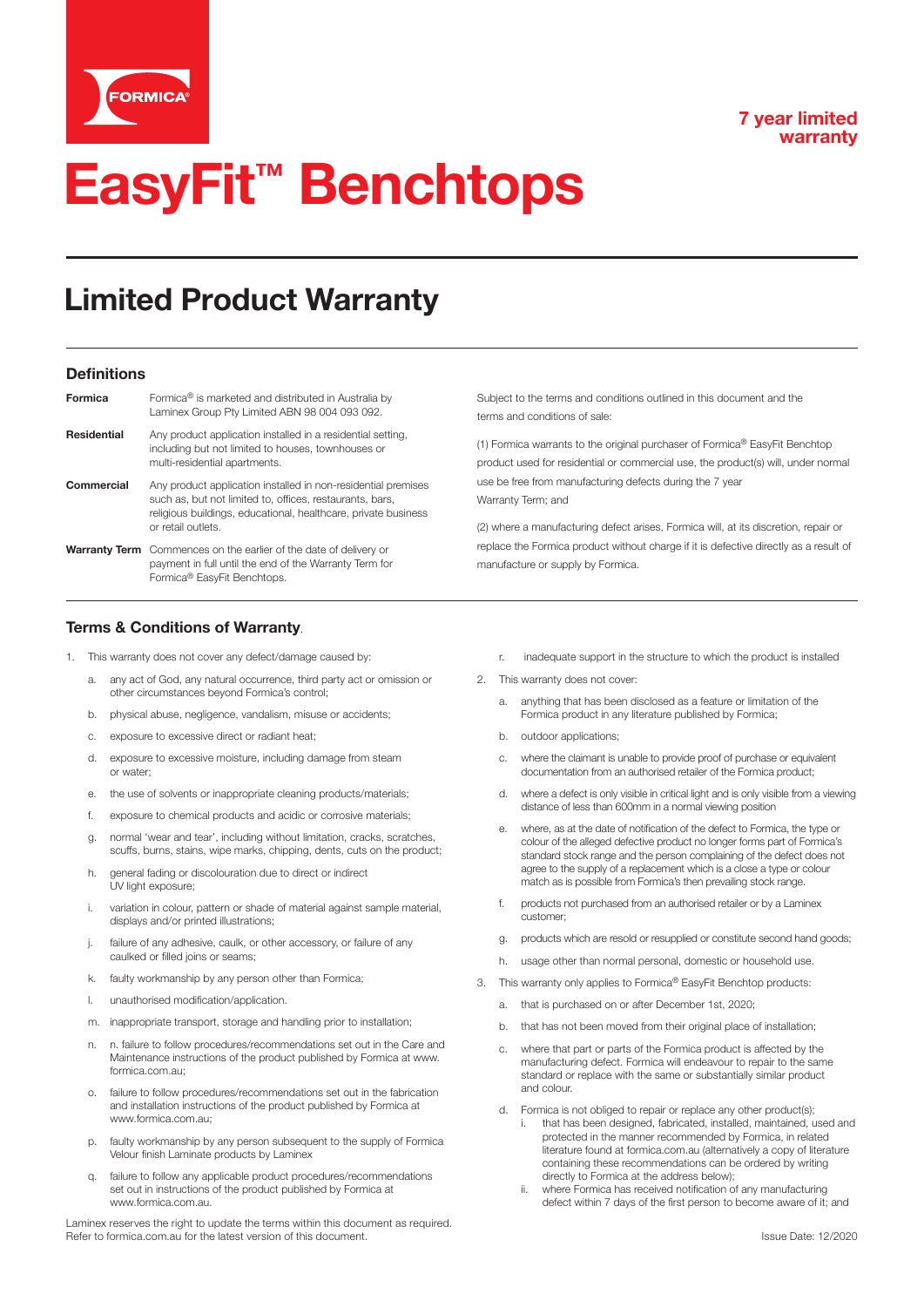

#### **7 year limited warranty**

# **EasyFit™ Benchtops**

### Limited Product Warranty

#### **Definitions**

| Formica     | Formica <sup>®</sup> is marketed and distributed in Australia by<br>Laminex Group Pty Limited ABN 98 004 093 092.                                                                                                 |
|-------------|-------------------------------------------------------------------------------------------------------------------------------------------------------------------------------------------------------------------|
| Residential | Any product application installed in a residential setting,<br>including but not limited to houses, townhouses or<br>multi-residential apartments.                                                                |
| Commercial  | Any product application installed in non-residential premises<br>such as, but not limited to, offices, restaurants, bars,<br>religious buildings, educational, healthcare, private business<br>or retail outlets. |
|             | <b>Warranty Term</b> Commences on the earlier of the date of delivery or<br>payment in full until the end of the Warranty Term for<br>Formica <sup>®</sup> EasyFit Benchtops.                                     |

Subject to the terms and conditions outlined in this document and the terms and conditions of sale:

(1) Formica warrants to the original purchaser of Formica® EasyFit Benchtop product used for residential or commercial use, the product(s) will, under normal use be free from manufacturing defects during the 7 year Warranty Term; and

(2) where a manufacturing defect arises, Formica will, at its discretion, repair or replace the Formica product without charge if it is defective directly as a result of manufacture or supply by Formica.

#### **Terms & Conditions of Warranty**.

- 1. This warranty does not cover any defect/damage caused by:
	- a. any act of God, any natural occurrence, third party act or omission or other circumstances beyond Formica's control;
	- b. physical abuse, negligence, vandalism, misuse or accidents;
	- c. exposure to excessive direct or radiant heat;
	- d. exposure to excessive moisture, including damage from steam or water;
	- e. the use of solvents or inappropriate cleaning products/materials;
	- f. exposure to chemical products and acidic or corrosive materials;
	- g. normal 'wear and tear', including without limitation, cracks, scratches, scuffs, burns, stains, wipe marks, chipping, dents, cuts on the product;
	- h. general fading or discolouration due to direct or indirect UV light exposure;
	- i. variation in colour, pattern or shade of material against sample material, displays and/or printed illustrations;
	- j. failure of any adhesive, caulk, or other accessory, or failure of any caulked or filled joins or seams;
	- k. faulty workmanship by any person other than Formica;
	- l. unauthorised modification/application.
	- m. inappropriate transport, storage and handling prior to installation;
	- n. n. failure to follow procedures/recommendations set out in the Care and Maintenance instructions of the product published by Formica at www. formica.com.au;
	- o. failure to follow procedures/recommendations set out in the fabrication and installation instructions of the product published by Formica at www.formica.com.au;
	- p. faulty workmanship by any person subsequent to the supply of Formica Velour finish Laminate products by Laminex
	- q. failure to follow any applicable product procedures/recommendations set out in instructions of the product published by Formica at www.formica.com.au.

Laminex reserves the right to update the terms within this document as required. Refer to formica.com.au for the latest version of this document. In the state of the state of the state of this document.

- r. inadequate support in the structure to which the product is installed
- 2. This warranty does not cover:
	- a. anything that has been disclosed as a feature or limitation of the Formica product in any literature published by Formica;
	- b. outdoor applications;
	- c. where the claimant is unable to provide proof of purchase or equivalent documentation from an authorised retailer of the Formica product;
	- d. where a defect is only visible in critical light and is only visible from a viewing distance of less than 600mm in a normal viewing position
	- e. where, as at the date of notification of the defect to Formica, the type or colour of the alleged defective product no longer forms part of Formica's standard stock range and the person complaining of the defect does not agree to the supply of a replacement which is a close a type or colour match as is possible from Formica's then prevailing stock range.
	- f. products not purchased from an authorised retailer or by a Laminex customer;
	- g. products which are resold or resupplied or constitute second hand goods;
	- h. usage other than normal personal, domestic or household use.
- 3. This warranty only applies to Formica® EasyFit Benchtop products:
	- a. that is purchased on or after December 1st, 2020;
	- b. that has not been moved from their original place of installation;
	- where that part or parts of the Formica product is affected by the manufacturing defect. Formica will endeavour to repair to the same standard or replace with the same or substantially similar product and colour.
	- d. Formica is not obliged to repair or replace any other product(s); that has been designed, fabricated, installed, maintained, used and protected in the manner recommended by Formica, in related literature found at formica.com.au (alternatively a copy of literature containing these recommendations can be ordered by writing directly to Formica at the address below);<br>ii where Formica has received potification of
		- where Formica has received notification of any manufacturing defect within 7 days of the first person to become aware of it; and